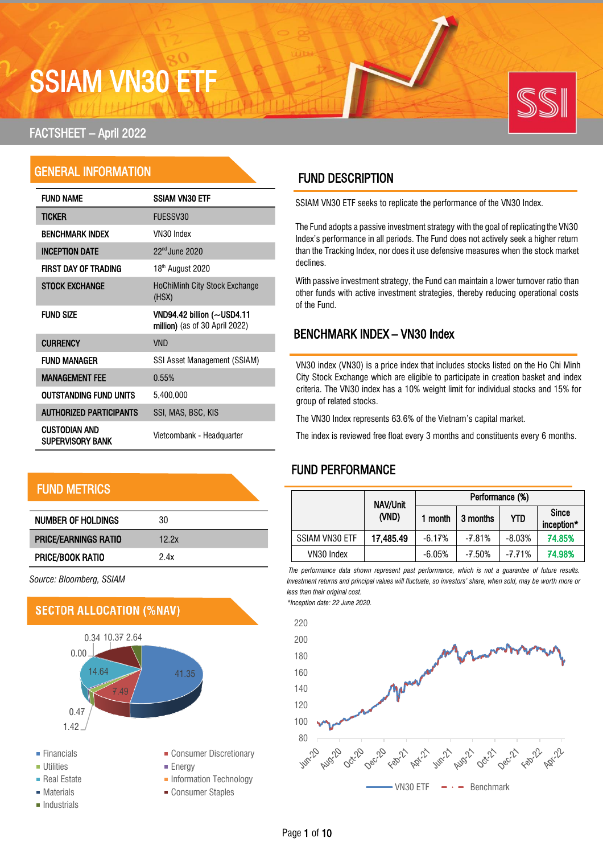# SSIAM VN30 ETF

## FACTSHEET – April 2022

# GENERAL INFORMATION

| <b>FUND NAME</b>                  | <b>SSIAM VN30 ETF</b>                                           |
|-----------------------------------|-----------------------------------------------------------------|
| ticker                            | FUESSV30                                                        |
| <b>BENCHMARK INDEX</b>            | VN30 Index                                                      |
| <b>INCEPTION DATE</b>             | $22nd$ June $2020$                                              |
| FIRST DAY OF TRADING              | 18th August 2020                                                |
| <b>STOCK EXCHANGE</b>             | <b>HoChiMinh City Stock Exchange</b><br>(HSX)                   |
| <b>FUND SIZE</b>                  | VND94.42 billion $(-USD4.11)$<br>million) (as of 30 April 2022) |
| <b>CURRENCY</b>                   | <b>VND</b>                                                      |
| FUND MANAGER                      | SSI Asset Management (SSIAM)                                    |
| <b>MANAGEMENT FEE</b>             | 0.55%                                                           |
| OUTSTANDING FUND UNITS            | 5,400,000                                                       |
| <b>AUTHORIZED PARTICIPANTS</b>    | SSI, MAS, BSC, KIS                                              |
| CUSTODIAN AND<br>SUPERVISORY BANK | Vietcombank - Headquarter                                       |

# FUND METRICS

| NUMBER OF HOLDINGS          | 30    |
|-----------------------------|-------|
| <b>PRICE/EARNINGS RATIO</b> | 12.2x |
| <b>PRICE/BOOK RATIO</b>     | 2.4x  |

*Source: Bloomberg, SSIAM*



# FUND DESCRIPTION

SSIAM VN30 ETF seeks to replicate the performance of the VN30 Index.

The Fund adopts a passive investment strategy with the goal of replicating the VN30 Index's performance in all periods. The Fund does not actively seek a higher return than the Tracking Index, nor does it use defensive measures when the stock market declines.

With passive investment strategy, the Fund can maintain a lower turnover ratio than other funds with active investment strategies, thereby reducing operational costs of the Fund.

## BENCHMARK INDEX – VN30 Index

VN30 index (VN30) is a price index that includes stocks listed on the Ho Chi Minh City Stock Exchange which are eligible to participate in creation basket and index criteria. The VN30 index has a 10% weight limit for individual stocks and 15% for group of related stocks.

The VN30 Index represents 63.6% of the Vietnam's capital market.

The index is reviewed free float every 3 months and constituents every 6 months.

# FUND PERFORMANCE

|                       | NAV/Unit  |          | Performance (%) |            |                            |
|-----------------------|-----------|----------|-----------------|------------|----------------------------|
|                       | (VND)     | 1 month  | 3 months        | <b>YTD</b> | <b>Since</b><br>inception* |
| <b>SSIAM VN30 ETF</b> | 17,485.49 | $-6.17%$ | $-7.81%$        | $-8.03%$   | 74.85%                     |
| VN30 Index            |           | $-6.05%$ | $-7.50%$        | -7.71%     | 74.98%                     |

*The performance data shown represent past performance, which is not a guarantee of future results. Investment returns and principal values will fluctuate, so investors' share, when sold, may be worth more or less than their original cost. \*Inception date: 22 June 2020.*

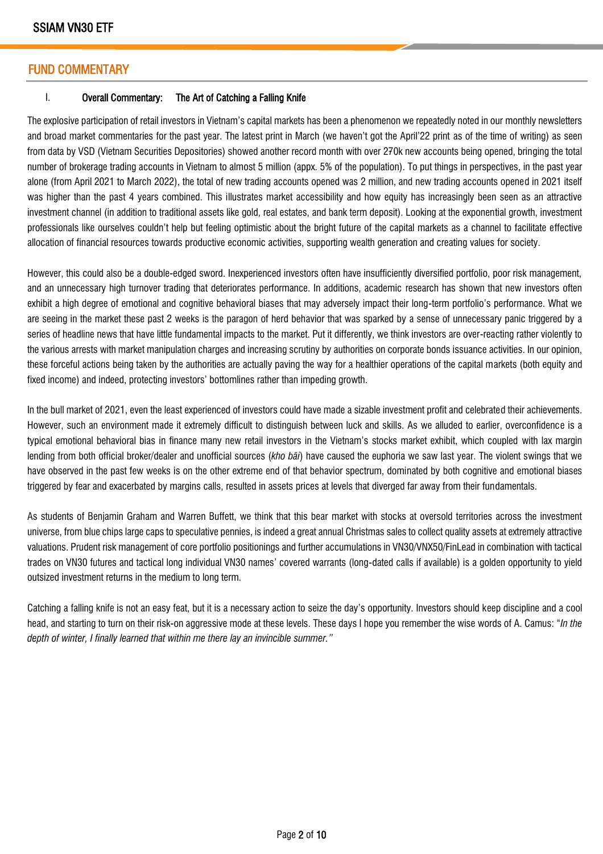### FUND COMMENTARY

#### I. Overall Commentary: The Art of Catching a Falling Knife

The explosive participation of retail investors in Vietnam's capital markets has been a phenomenon we repeatedly noted in our monthly newsletters and broad market commentaries for the past year. The latest print in March (we haven't got the April'22 print as of the time of writing) as seen from data by VSD (Vietnam Securities Depositories) showed another record month with over 270k new accounts being opened, bringing the total number of brokerage trading accounts in Vietnam to almost 5 million (appx. 5% of the population). To put things in perspectives, in the past year alone (from April 2021 to March 2022), the total of new trading accounts opened was 2 million, and new trading accounts opened in 2021 itself was higher than the past 4 years combined. This illustrates market accessibility and how equity has increasingly been seen as an attractive investment channel (in addition to traditional assets like gold, real estates, and bank term deposit). Looking at the exponential growth, investment professionals like ourselves couldn't help but feeling optimistic about the bright future of the capital markets as a channel to facilitate effective allocation of financial resources towards productive economic activities, supporting wealth generation and creating values for society.

However, this could also be a double-edged sword. Inexperienced investors often have insufficiently diversified portfolio, poor risk management, and an unnecessary high turnover trading that deteriorates performance. In additions, academic research has shown that new investors often exhibit a high degree of emotional and cognitive behavioral biases that may adversely impact their long-term portfolio's performance. What we are seeing in the market these past 2 weeks is the paragon of herd behavior that was sparked by a sense of unnecessary panic triggered by a series of headline news that have little fundamental impacts to the market. Put it differently, we think investors are over-reacting rather violently to the various arrests with market manipulation charges and increasing scrutiny by authorities on corporate bonds issuance activities. In our opinion, these forceful actions being taken by the authorities are actually paving the way for a healthier operations of the capital markets (both equity and fixed income) and indeed, protecting investors' bottomlines rather than impeding growth.

In the bull market of 2021, even the least experienced of investors could have made a sizable investment profit and celebrated their achievements. However, such an environment made it extremely difficult to distinguish between luck and skills. As we alluded to earlier, overconfidence is a typical emotional behavioral bias in finance many new retail investors in the Vietnam's stocks market exhibit, which coupled with lax margin lending from both official broker/dealer and unofficial sources (*kho bãi*) have caused the euphoria we saw last year. The violent swings that we have observed in the past few weeks is on the other extreme end of that behavior spectrum, dominated by both cognitive and emotional biases triggered by fear and exacerbated by margins calls, resulted in assets prices at levels that diverged far away from their fundamentals.

As students of Benjamin Graham and Warren Buffett, we think that this bear market with stocks at oversold territories across the investment universe, from blue chips large caps to speculative pennies, is indeed a great annual Christmas sales to collect quality assets at extremely attractive valuations. Prudent risk management of core portfolio positionings and further accumulations in VN30/VNX50/FinLead in combination with tactical trades on VN30 futures and tactical long individual VN30 names' covered warrants (long-dated calls if available) is a golden opportunity to yield outsized investment returns in the medium to long term.

Catching a falling knife is not an easy feat, but it is a necessary action to seize the day's opportunity. Investors should keep discipline and a cool head, and starting to turn on their risk-on aggressive mode at these levels. These days I hope you remember the wise words of A. Camus: "*In the depth of winter, I finally learned that within me there lay an invincible summer."*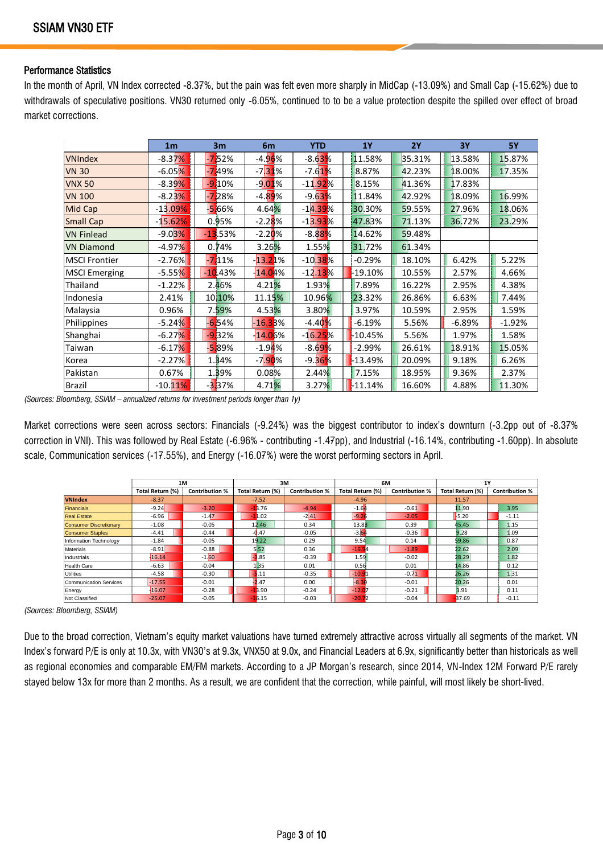#### Performance Statistics

In the month of April, VN Index corrected -8.37%, but the pain was felt even more sharply in MidCap (-13.09%) and Small Cap (-15.62%) due to withdrawals of speculative positions. VN30 returned only -6.05%, continued to to be a value protection despite the spilled over effect of broad market corrections.

|                      | 1 <sub>m</sub>       | 3 <sub>m</sub> | 6m        | <b>YTD</b>             | <b>1Y</b> | 2Y     | <b>3Y</b>  | <b>5Y</b> |
|----------------------|----------------------|----------------|-----------|------------------------|-----------|--------|------------|-----------|
| <b>VNIndex</b>       | -8.37%               | $-752%$        | $-4.96%$  | -8.63%                 | 11.58%    | 35.31% | 13.58%     | 15.87%    |
| <b>VN 30</b>         | $-6.05%$             | -749%          | $-7.31%$  | $-7.61%$               | 8.87%     | 42.23% | 18.00%     | 17.35%    |
| <b>VNX 50</b>        | -8.3 <mark>9%</mark> | $-910%$        | $-9.01%$  | $-11.92%$              | 8.15%     | 41.36% | 17.83%     |           |
| <b>VN 100</b>        | -8.2 <mark>3%</mark> | $-728%$        | $-4.89%$  | $-9.63%$               | 11.84%    | 42.92% | 18.09%     | 16.99%    |
| Mid Cap              | $-13.09%$            | $-5.66%$       | 4.64%     | -1 <mark>4.39</mark> % | 30.30%    | 59.55% | 27.96%     | 18.06%    |
| <b>Small Cap</b>     | $-15.62%$            | 0.95%          | $-2.28%$  | $-13.93%$              | 47.83%    | 71.13% | 36.72%     | 23.29%    |
| <b>VN Finlead</b>    | $-9.03%$             | $-13.53%$      | $-2.20%$  | -8.8 <mark>8%</mark>   | 14.62%    | 59.48% |            |           |
| <b>VN Diamond</b>    | $-4.97%$             | 0.74%          | 3.26%     | 1.55%                  | 31.72%    | 61.34% |            |           |
| <b>MSCI Frontier</b> | $-2.76%$             | $-711%$        | $-13.21%$ | $-10.38%$              | $-0.29%$  | 18.10% | 6.42%<br>П | 5.22%     |
| <b>MSCI Emerging</b> | $-5.55%$             | $-10.43%$      | $-14.04%$ | $-12.13%$              | -19.10%   | 10.55% | 2.57%      | 4.66%     |
| Thailand             | $-1.22%$             | 2.46%          | 4.21%     | 1.93%                  | 7.89%     | 16.22% | 2.95%      | 4.38%     |
| Indonesia            | 2.41%                | 10,10%         | 11.15%    | 10.96%                 | 23.32%    | 26.86% | 6.63%      | 7.44%     |
| Malaysia             | 0.96%                | 7.59%          | 4.53%     | 3.80%                  | 3.97%     | 10.59% | 2.95%      | 1.59%     |
| Philippines          | $-5.24%$             | $-654%$        | $-16.33%$ | $-4.40%$               | $-6.19%$  | 5.56%  | $-6.89%$   | $-1.92%$  |
| Shanghai             | $-6.27%$             | $-9.32%$       | $-14.05%$ | $-16.25%$              | -10.45%   | 5.56%  | 1.97%      | 1.58%     |
| Taiwan               | $-6.17%$             | -5.89%         | $-1.94%$  | $-8.69%$               | $-2.99%$  | 26.61% | 18.91%     | 15.05%    |
| Korea                | $-2.27%$             | 1.34%          | $-7.90%$  | $-9.36%$               | -13.49%   | 20.09% | 9.18%      | 6.26%     |
| Pakistan             | 0.67%                | 1.39%          | 0.08%     | 2.44%                  | 7.15%     | 18.95% | 9.36%      | 2.37%     |
| Brazil               | $-10.11\%$           | $-3.37%$       | 4.71%     | 3.27%                  | $-11.14%$ | 16.60% | 4.88%      | 11.30%    |

*(Sources: Bloomberg, SSIAM – annualized returns for investment periods longer than 1y)*

Market corrections were seen across sectors: Financials (-9.24%) was the biggest contributor to index's downturn (-3.2pp out of -8.37% correction in VNI). This was followed by Real Estate (-6.96% - contributing -1.47pp), and Industrial (-16.14%, contributing -1.60pp). In absolute scale, Communication services (-17.55%), and Energy (-16.07%) were the worst performing sectors in April.

|                               | 1M               |                       | 3M               |                       | 6M               |                       | 1Y               |                       |
|-------------------------------|------------------|-----------------------|------------------|-----------------------|------------------|-----------------------|------------------|-----------------------|
|                               | Total Return (%) | <b>Contribution %</b> | Total Return (%) | <b>Contribution %</b> | Total Return (%) | <b>Contribution %</b> | Total Return (%) | <b>Contribution %</b> |
| <b>VNIndex</b>                | $-8.37$          |                       | $-7.52$          |                       | $-4.96$          |                       | 11.57            |                       |
| Financials                    | $-9.24$          | $-3.20$               | $-18.76$         | $-4.94$               | $-1.64$          | $-0.61$               | 11.90            | 3.95                  |
| <b>Real Estate</b>            | $-6.96$          | $-1.47$               | $-11.02$         | $-2.41$               | $-9.26$          | $-2.05$               | 5.20             | $-1.11$               |
| <b>Consumer Discretionary</b> | $-1.08$          | $-0.05$               | 12.46            | 0.34                  | 13.83            | 0.39                  | 45.45            | 1.15                  |
| <b>Consumer Staples</b>       | $-4.41$          | $-0.44$               | -0.47            | $-0.05$               | $-3.64$          | $-0.36$               | 9.28             | 1.09                  |
| Information Technology        | $-1.84$          | $-0.05$               | 19.22            | 0.29                  | 9.54             | 0.14                  | \$9.86           | 0.87                  |
| Materials                     | $-8.91$          | $-0.88$               | 5!52             | 0.36                  | $-16.94$         | $-1.89$               | 22.62            | 2.09                  |
| Industrials                   | $-16.14$         | $-1.60$               | 1.85             | $-0.39$               | 1.59             | $-0.02$               | 28.29            | 1.82                  |
| <b>Health Care</b>            | $-6.63$          | $-0.04$               | 1.35             | 0.01                  | 0.56             | 0.01                  | 14.86            | 0.12                  |
| Utilities                     | $-4.58$          | $-0.30$               | $-5.11$          | $-0.35$               | $-10.91$         | $-0.71$               | 26.26            | 1.31                  |
| <b>Communication Services</b> | $-17.55$         | $-0.01$               | 2.47             | 0.00                  | $-8.30$          | $-0.01$               | 20.26            | 0.01                  |
| Energy                        | $-16.07$         | $-0.28$               | 13.90            | $-0.24$               | $-12.07$         | $-0.21$               | 3.91             | 0.11                  |
| Not Classified                | $-25.07$         | $-0.05$               | $-16.15$         | $-0.03$               | $-20.72$         | $-0.04$               | <b>B7.69</b>     | $-0.11$               |

*(Sources: Bloomberg, SSIAM)*

Due to the broad correction, Vietnam's equity market valuations have turned extremely attractive across virtually all segments of the market. VN Index's forward P/E is only at 10.3x, with VN30's at 9.3x, VNX50 at 9.0x, and Financial Leaders at 6.9x, significantly better than historicals as well as regional economies and comparable EM/FM markets. According to a JP Morgan's research, since 2014, VN-Index 12M Forward P/E rarely stayed below 13x for more than 2 months. As a result, we are confident that the correction, while painful, will most likely be short-lived.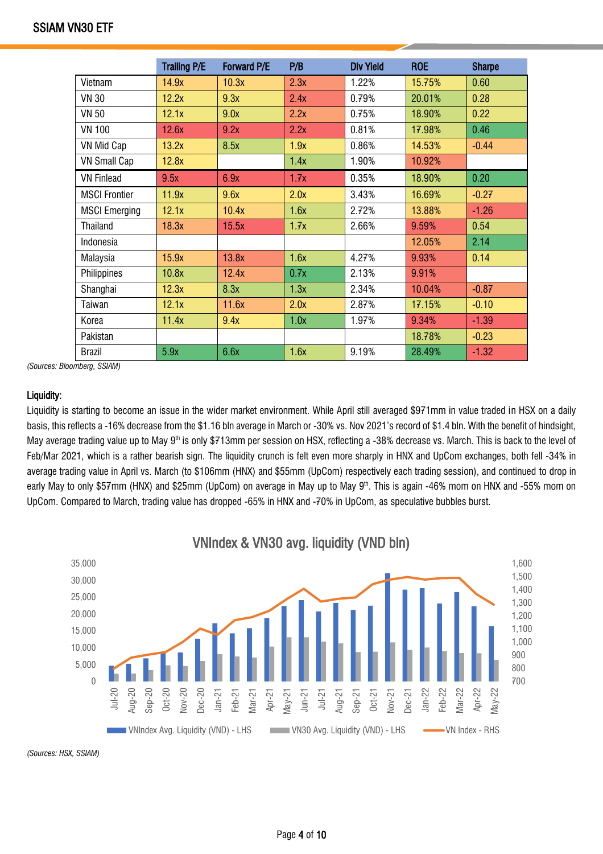|                      | <b>Trailing P/E</b> | Forward P/E | P/B  | <b>Div Yield</b> | <b>ROE</b> | <b>Sharpe</b> |
|----------------------|---------------------|-------------|------|------------------|------------|---------------|
| Vietnam              | 14.9x               | 10.3x       | 2.3x | 1.22%            | 15.75%     | 0.60          |
| <b>VN 30</b>         | 12.2x               | 9.3x        | 2.4x | 0.79%            | 20.01%     | 0.28          |
| <b>VN 50</b>         | 12.1x               | 9.0x        | 2.2x | 0.75%            | 18.90%     | 0.22          |
| <b>VN 100</b>        | 12.6x               | 9.2x        | 2.2x | 0.81%            | 17.98%     | 0.46          |
| VN Mid Cap           | 13.2x               | 8.5x        | 1.9x | 0.86%            | 14.53%     | $-0.44$       |
| <b>VN Small Cap</b>  | 12.8x               |             | 1.4x | 1.90%            | 10.92%     |               |
| <b>VN Finlead</b>    | 9.5x                | 6.9x        | 1.7x | 0.35%            | 18.90%     | 0.20          |
| <b>MSCI Frontier</b> | 11.9x               | 9.6x        | 2.0x | 3.43%            | 16.69%     | $-0.27$       |
| <b>MSCI Emerging</b> | 12.1x               | 10.4x       | 1.6x | 2.72%            | 13.88%     | $-1.26$       |
| <b>Thailand</b>      | 18.3x               | 15.5x       | 1.7x | 2.66%            | 9.59%      | 0.54          |
| Indonesia            |                     |             |      |                  | 12.05%     | 2.14          |
| Malaysia             | 15.9x               | 13.8x       | 1.6x | 4.27%            | 9.93%      | 0.14          |
| Philippines          | 10.8x               | 12.4x       | 0.7x | 2.13%            | 9.91%      |               |
| Shanghai             | 12.3x               | 8.3x        | 1.3x | 2.34%            | 10.04%     | $-0.87$       |
| Taiwan               | 12.1x               | 11.6x       | 2.0x | 2.87%            | 17.15%     | $-0.10$       |
| Korea                | 11.4x               | 9.4x        | 1.0x | 1.97%            | 9.34%      | $-1.39$       |
| Pakistan             |                     |             |      |                  | 18.78%     | $-0.23$       |
| <b>Brazil</b>        | 5.9x                | 6.6x        | 1.6x | 9.19%            | 28.49%     | $-1.32$       |

*(Sources: Bloomberg, SSIAM)*

#### Liquidity:

Liquidity is starting to become an issue in the wider market environment. While April still averaged \$971mm in value traded in HSX on a daily basis, this reflects a -16% decrease from the \$1.16 bln average in March or -30% vs. Nov 2021's record of \$1.4 bln. With the benefit of hindsight, May average trading value up to May 9<sup>th</sup> is only \$713mm per session on HSX, reflecting a -38% decrease vs. March. This is back to the level of Feb/Mar 2021, which is a rather bearish sign. The liquidity crunch is felt even more sharply in HNX and UpCom exchanges, both fell -34% in average trading value in April vs. March (to \$106mm (HNX) and \$55mm (UpCom) respectively each trading session), and continued to drop in early May to only \$57mm (HNX) and \$25mm (UpCom) on average in May up to May 9<sup>th</sup>. This is again -46% mom on HNX and -55% mom on UpCom. Compared to March, trading value has dropped -65% in HNX and -70% in UpCom, as speculative bubbles burst.



*(Sources: HSX, SSIAM)*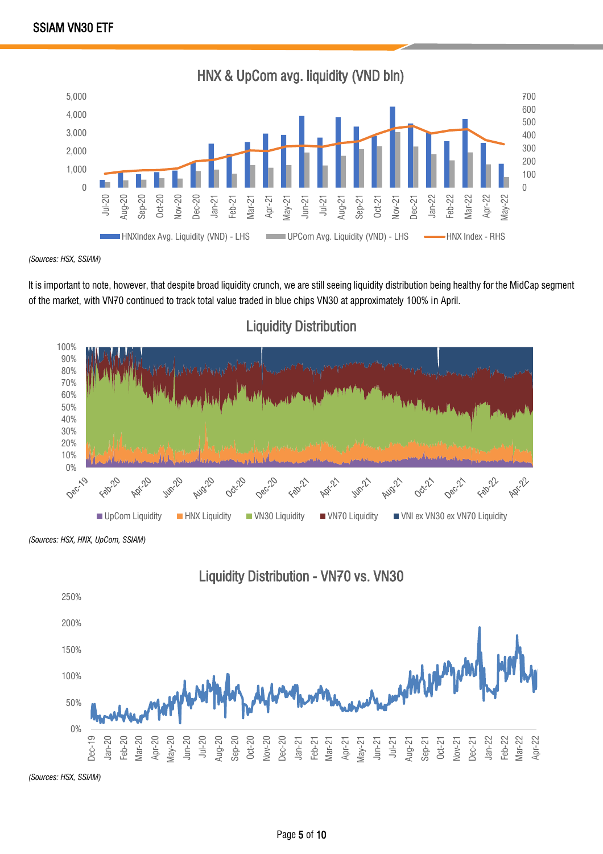

*(Sources: HSX, SSIAM)*

It is important to note, however, that despite broad liquidity crunch, we are still seeing liquidity distribution being healthy for the MidCap segment of the market, with VN70 continued to track total value traded in blue chips VN30 at approximately 100% in April.



# Liquidity Distribution

*(Sources: HSX, HNX, UpCom, SSIAM)*





*(Sources: HSX, SSIAM)*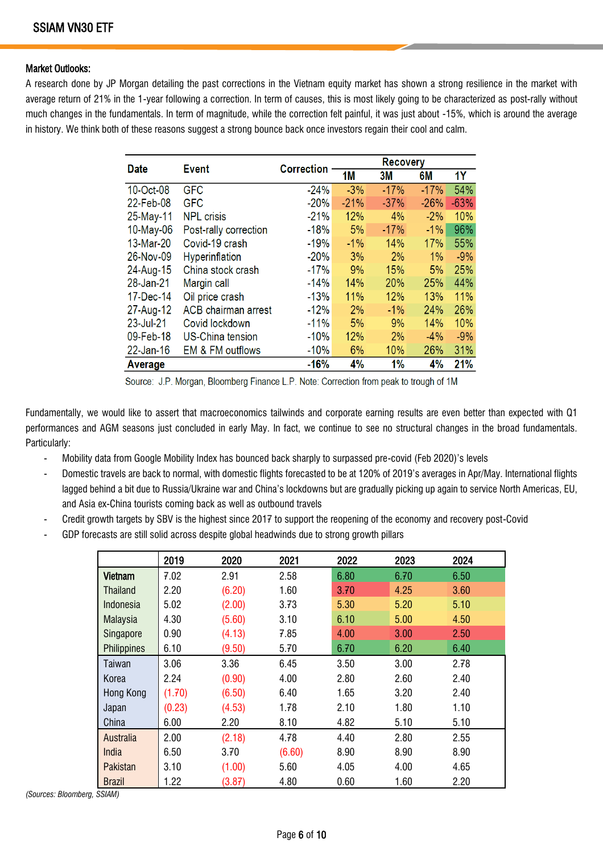#### Market Outlooks:

A research done by JP Morgan detailing the past corrections in the Vietnam equity market has shown a strong resilience in the market with average return of 21% in the 1-year following a correction. In term of causes, this is most likely going to be characterized as post-rally without much changes in the fundamentals. In term of magnitude, while the correction felt painful, it was just about -15%, which is around the average in history. We think both of these reasons suggest a strong bounce back once investors regain their cool and calm.

| <b>Date</b>  | <b>Event</b>               |                   | <b>Recovery</b> |        |        |           |
|--------------|----------------------------|-------------------|-----------------|--------|--------|-----------|
|              |                            | <b>Correction</b> | 1M              | 3M     | 6M     | <b>1Y</b> |
| 10-Oct-08    | <b>GFC</b>                 | $-24%$            | $-3%$           | $-17%$ | $-17%$ | 54%       |
| 22-Feb-08    | <b>GFC</b>                 | $-20%$            | $-21%$          | $-37%$ | $-26%$ | $-63%$    |
| 25-May-11    | <b>NPL crisis</b>          | $-21%$            | 12%             | 4%     | $-2%$  | 10%       |
| $10$ -May-06 | Post-rally correction      | $-18%$            | 5%              | $-17%$ | $-1\%$ | 96%       |
| 13-Mar-20    | Covid-19 crash             | $-19%$            | $-1%$           | 14%    | 17%    | 55%       |
| 26-Nov-09    | Hyperinflation             | $-20%$            | 3%              | 2%     | 1%     | $-9%$     |
| 24-Aug-15    | China stock crash          | $-17%$            | 9%              | 15%    | 5%     | 25%       |
| 28-Jan-21    | Margin call                | $-14%$            | 14%             | 20%    | 25%    | 44%       |
| 17-Dec-14    | Oil price crash            | $-13%$            | 11%             | 12%    | 13%    | 11%       |
| 27-Aug-12    | <b>ACB</b> chairman arrest | $-12%$            | 2%              | $-1%$  | 24%    | 26%       |
| 23-Jul-21    | Covid lockdown             | $-11%$            | 5%              | 9%     | 14%    | 10%       |
| 09-Feb-18    | <b>US-China tension</b>    | $-10%$            | 12%             | 2%     | $-4%$  | $-9%$     |
| $22$ -Jan-16 | EM & FM outflows           | -10%              | 6%              | 10%    | 26%    | 31%       |
| Average      |                            | $-16%$            | 4%              | 1%     | 4%     | 21%       |

Source: J.P. Morgan, Bloomberg Finance L.P. Note: Correction from peak to trough of 1M

Fundamentally, we would like to assert that macroeconomics tailwinds and corporate earning results are even better than expected with Q1 performances and AGM seasons just concluded in early May. In fact, we continue to see no structural changes in the broad fundamentals. Particularly:

- Mobility data from Google Mobility Index has bounced back sharply to surpassed pre-covid (Feb 2020)'s levels
- Domestic travels are back to normal, with domestic flights forecasted to be at 120% of 2019's averages in Apr/May. International flights lagged behind a bit due to Russia/Ukraine war and China's lockdowns but are gradually picking up again to service North Americas, EU, and Asia ex-China tourists coming back as well as outbound travels
- Credit growth targets by SBV is the highest since 2017 to support the reopening of the economy and recovery post-Covid
- GDP forecasts are still solid across despite global headwinds due to strong growth pillars

|                    | 2019   | 2020   | 2021   | 2022 | 2023 | 2024 |
|--------------------|--------|--------|--------|------|------|------|
| <b>Vietnam</b>     | 7.02   | 2.91   | 2.58   | 6.80 | 6.70 | 6.50 |
| Thailand           | 2.20   | (6.20) | 1.60   | 3.70 | 4.25 | 3.60 |
| Indonesia          | 5.02   | (2.00) | 3.73   | 5.30 | 5.20 | 5.10 |
| Malaysia           | 4.30   | (5.60) | 3.10   | 6.10 | 5.00 | 4.50 |
| Singapore          | 0.90   | (4.13) | 7.85   | 4.00 | 3.00 | 2.50 |
| <b>Philippines</b> | 6.10   | (9.50) | 5.70   | 6.70 | 6.20 | 6.40 |
| Taiwan             | 3.06   | 3.36   | 6.45   | 3.50 | 3.00 | 2.78 |
| Korea              | 2.24   | (0.90) | 4.00   | 2.80 | 2.60 | 2.40 |
| Hong Kong          | (1.70) | (6.50) | 6.40   | 1.65 | 3.20 | 2.40 |
| Japan              | (0.23) | (4.53) | 1.78   | 2.10 | 1.80 | 1.10 |
| China              | 6.00   | 2.20   | 8.10   | 4.82 | 5.10 | 5.10 |
| Australia          | 2.00   | (2.18) | 4.78   | 4.40 | 2.80 | 2.55 |
| India              | 6.50   | 3.70   | (6.60) | 8.90 | 8.90 | 8.90 |
| Pakistan           | 3.10   | (1.00) | 5.60   | 4.05 | 4.00 | 4.65 |
| <b>Brazil</b>      | 1.22   | (3.87) | 4.80   | 0.60 | 1.60 | 2.20 |

*(Sources: Bloomberg, SSIAM)*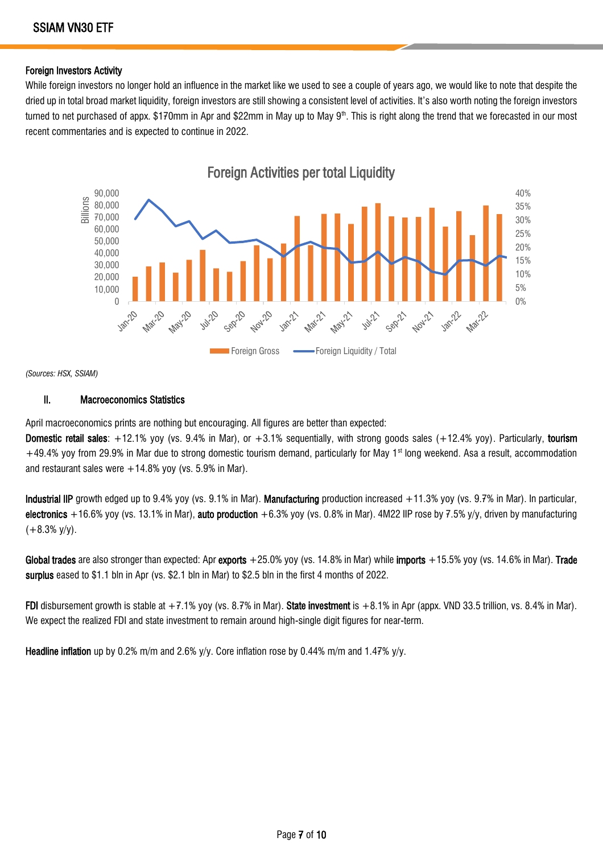#### Foreign Investors Activity

While foreign investors no longer hold an influence in the market like we used to see a couple of years ago, we would like to note that despite the dried up in total broad market liquidity, foreign investors are still showing a consistent level of activities. It's also worth noting the foreign investors turned to net purchased of appx. \$170mm in Apr and \$22mm in May up to May 9<sup>th</sup>. This is right along the trend that we forecasted in our most recent commentaries and is expected to continue in 2022.



*(Sources: HSX, SSIAM)*

#### II. Macroeconomics Statistics

April macroeconomics prints are nothing but encouraging. All figures are better than expected:

**Domestic retail sales**:  $+12.1\%$  yoy (vs. 9.4% in Mar), or  $+3.1\%$  sequentially, with strong goods sales  $(+12.4\%$  yoy). Particularly, tourism +49.4% yoy from 29.9% in Mar due to strong domestic tourism demand, particularly for May 1<sup>st</sup> long weekend. Asa a result, accommodation and restaurant sales were  $+14.8\%$  yoy (vs. 5.9% in Mar).

Industrial IIP growth edged up to 9.4% yoy (vs. 9.1% in Mar). Manufacturing production increased +11.3% yoy (vs. 9.7% in Mar). In particular, electronics +16.6% yoy (vs. 13.1% in Mar), auto production +6.3% yoy (vs. 0.8% in Mar). 4M22 IIP rose by 7.5% y/y, driven by manufacturing  $(+8.3\%$  y/y).

Global trades are also stronger than expected: Apr exports +25.0% yoy (vs. 14.8% in Mar) while imports +15.5% yoy (vs. 14.6% in Mar). Trade surplus eased to \$1.1 bln in Apr (vs. \$2.1 bln in Mar) to \$2.5 bln in the first 4 months of 2022.

FDI disbursement growth is stable at  $+7.1\%$  yoy (vs. 8.7% in Mar). State investment is  $+8.1\%$  in Apr (appx. VND 33.5 trillion, vs. 8.4% in Mar). We expect the realized FDI and state investment to remain around high-single digit figures for near-term.

**Headline inflation** up by 0.2% m/m and 2.6% y/y. Core inflation rose by 0.44% m/m and 1.47% y/y.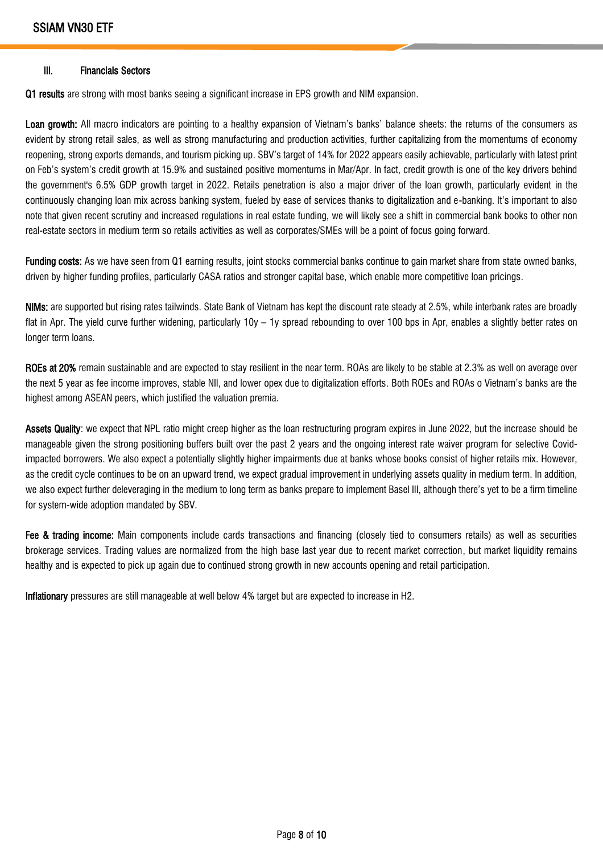#### III. Financials Sectors

Q1 results are strong with most banks seeing a significant increase in EPS growth and NIM expansion.

Loan growth: All macro indicators are pointing to a healthy expansion of Vietnam's banks' balance sheets: the returns of the consumers as evident by strong retail sales, as well as strong manufacturing and production activities, further capitalizing from the momentums of economy reopening, strong exports demands, and tourism picking up. SBV's target of 14% for 2022 appears easily achievable, particularly with latest print on Feb's system's credit growth at 15.9% and sustained positive momentums in Mar/Apr. In fact, credit growth is one of the key drivers behind the government's 6.5% GDP growth target in 2022. Retails penetration is also a major driver of the loan growth, particularly evident in the continuously changing loan mix across banking system, fueled by ease of services thanks to digitalization and e-banking. It's important to also note that given recent scrutiny and increased regulations in real estate funding, we will likely see a shift in commercial bank books to other non real-estate sectors in medium term so retails activities as well as corporates/SMEs will be a point of focus going forward.

Funding costs: As we have seen from Q1 earning results, joint stocks commercial banks continue to gain market share from state owned banks, driven by higher funding profiles, particularly CASA ratios and stronger capital base, which enable more competitive loan pricings.

NIMs: are supported but rising rates tailwinds. State Bank of Vietnam has kept the discount rate steady at 2.5%, while interbank rates are broadly flat in Apr. The yield curve further widening, particularly 10y – 1y spread rebounding to over 100 bps in Apr, enables a slightly better rates on longer term loans.

ROEs at 20% remain sustainable and are expected to stay resilient in the near term. ROAs are likely to be stable at 2.3% as well on average over the next 5 year as fee income improves, stable NII, and lower opex due to digitalization efforts. Both ROEs and ROAs o Vietnam's banks are the highest among ASEAN peers, which justified the valuation premia.

Assets Quality: we expect that NPL ratio might creep higher as the loan restructuring program expires in June 2022, but the increase should be manageable given the strong positioning buffers built over the past 2 years and the ongoing interest rate waiver program for selective Covidimpacted borrowers. We also expect a potentially slightly higher impairments due at banks whose books consist of higher retails mix. However, as the credit cycle continues to be on an upward trend, we expect gradual improvement in underlying assets quality in medium term. In addition, we also expect further deleveraging in the medium to long term as banks prepare to implement Basel III, although there's yet to be a firm timeline for system-wide adoption mandated by SBV.

Fee & trading income: Main components include cards transactions and financing (closely tied to consumers retails) as well as securities brokerage services. Trading values are normalized from the high base last year due to recent market correction, but market liquidity remains healthy and is expected to pick up again due to continued strong growth in new accounts opening and retail participation.

Inflationary pressures are still manageable at well below 4% target but are expected to increase in H2.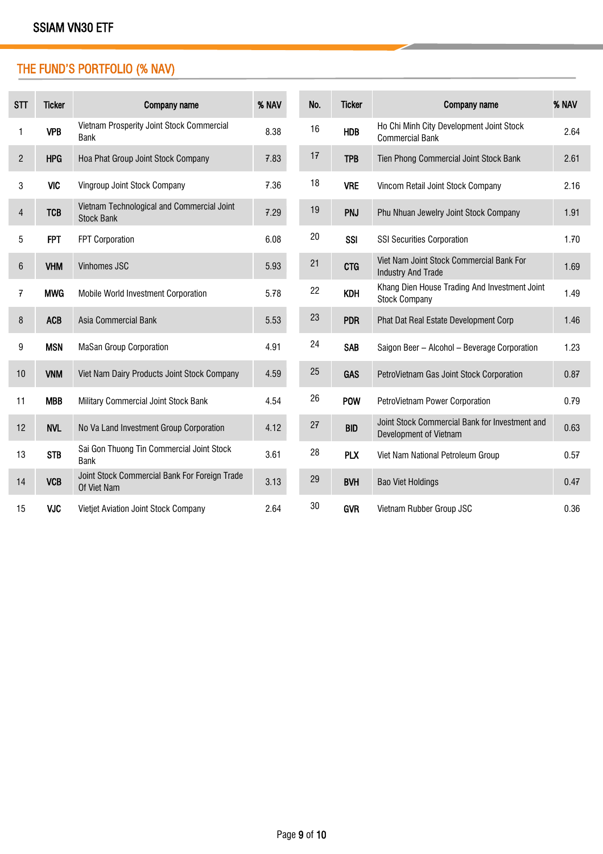# THE FUND'S PORTFOLIO (% NAV)

| STT            | <b>Ticker</b> | Company name                                                    | % NAV | No. | <b>Ticker</b> | Company name                                                             | % NAV |
|----------------|---------------|-----------------------------------------------------------------|-------|-----|---------------|--------------------------------------------------------------------------|-------|
| 1              | <b>VPB</b>    | Vietnam Prosperity Joint Stock Commercial<br><b>Bank</b>        | 8.38  | 16  | <b>HDB</b>    | Ho Chi Minh City Development Joint Stock<br><b>Commercial Bank</b>       | 2.64  |
| $\overline{c}$ | <b>HPG</b>    | Hoa Phat Group Joint Stock Company                              | 7.83  | 17  | <b>TPB</b>    | Tien Phong Commercial Joint Stock Bank                                   | 2.61  |
| 3              | <b>VIC</b>    | Vingroup Joint Stock Company                                    | 7.36  | 18  | <b>VRE</b>    | Vincom Retail Joint Stock Company                                        | 2.16  |
| 4              | <b>TCB</b>    | Vietnam Technological and Commercial Joint<br><b>Stock Bank</b> | 7.29  | 19  | <b>PNJ</b>    | Phu Nhuan Jewelry Joint Stock Company                                    | 1.91  |
| 5              | <b>FPT</b>    | <b>FPT Corporation</b>                                          | 6.08  | 20  | <b>SSI</b>    | <b>SSI Securities Corporation</b>                                        | 1.70  |
| 6              | <b>VHM</b>    | Vinhomes JSC                                                    | 5.93  | 21  | <b>CTG</b>    | Viet Nam Joint Stock Commercial Bank For<br><b>Industry And Trade</b>    | 1.69  |
| 7              | <b>MWG</b>    | Mobile World Investment Corporation                             | 5.78  | 22  | <b>KDH</b>    | Khang Dien House Trading And Investment Joint<br><b>Stock Company</b>    | 1.49  |
| 8              | <b>ACB</b>    | Asia Commercial Bank                                            | 5.53  | 23  | <b>PDR</b>    | Phat Dat Real Estate Development Corp                                    | 1.46  |
| 9              | <b>MSN</b>    | <b>MaSan Group Corporation</b>                                  | 4.91  | 24  | <b>SAB</b>    | Saigon Beer - Alcohol - Beverage Corporation                             | 1.23  |
| 10             | <b>VNM</b>    | Viet Nam Dairy Products Joint Stock Company                     | 4.59  | 25  | <b>GAS</b>    | PetroVietnam Gas Joint Stock Corporation                                 | 0.87  |
| 11             | <b>MBB</b>    | Military Commercial Joint Stock Bank                            | 4.54  | 26  | <b>POW</b>    | PetroVietnam Power Corporation                                           | 0.79  |
| 12             | <b>NVL</b>    | No Va Land Investment Group Corporation                         | 4.12  | 27  | <b>BID</b>    | Joint Stock Commercial Bank for Investment and<br>Development of Vietnam | 0.63  |
| 13             | <b>STB</b>    | Sai Gon Thuong Tin Commercial Joint Stock<br><b>Bank</b>        | 3.61  | 28  | <b>PLX</b>    | Viet Nam National Petroleum Group                                        | 0.57  |
| 14             | <b>VCB</b>    | Joint Stock Commercial Bank For Foreign Trade<br>Of Viet Nam    | 3.13  | 29  | <b>BVH</b>    | <b>Bao Viet Holdings</b>                                                 | 0.47  |
| 15             | <b>VJC</b>    | Vietjet Aviation Joint Stock Company                            | 2.64  | 30  | <b>GVR</b>    | Vietnam Rubber Group JSC                                                 | 0.36  |